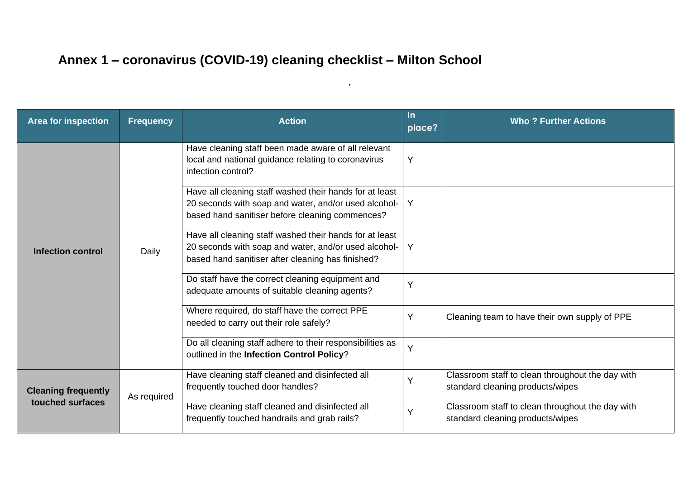## **Annex 1 – coronavirus (COVID-19) cleaning checklist – Milton School**

| <b>Area for inspection</b>                     | <b>Frequency</b> | <b>Action</b>                                                                                                                                                            | In.<br>place? | <b>Who? Further Actions</b>                                                          |
|------------------------------------------------|------------------|--------------------------------------------------------------------------------------------------------------------------------------------------------------------------|---------------|--------------------------------------------------------------------------------------|
| <b>Infection control</b>                       | Daily            | Have cleaning staff been made aware of all relevant<br>local and national guidance relating to coronavirus<br>infection control?                                         | Y             |                                                                                      |
|                                                |                  | Have all cleaning staff washed their hands for at least<br>20 seconds with soap and water, and/or used alcohol-<br>based hand sanitiser before cleaning commences?       | Y             |                                                                                      |
|                                                |                  | Have all cleaning staff washed their hands for at least<br>20 seconds with soap and water, and/or used alcohol-   Y<br>based hand sanitiser after cleaning has finished? |               |                                                                                      |
|                                                |                  | Do staff have the correct cleaning equipment and<br>adequate amounts of suitable cleaning agents?                                                                        | $\vee$        |                                                                                      |
|                                                |                  | Where required, do staff have the correct PPE<br>needed to carry out their role safely?                                                                                  | Υ             | Cleaning team to have their own supply of PPE                                        |
|                                                |                  | Do all cleaning staff adhere to their responsibilities as<br>outlined in the Infection Control Policy?                                                                   | Y             |                                                                                      |
| <b>Cleaning frequently</b><br>touched surfaces | As required      | Have cleaning staff cleaned and disinfected all<br>frequently touched door handles?                                                                                      |               | Classroom staff to clean throughout the day with<br>standard cleaning products/wipes |
|                                                |                  | Have cleaning staff cleaned and disinfected all<br>frequently touched handrails and grab rails?                                                                          | $\checkmark$  | Classroom staff to clean throughout the day with<br>standard cleaning products/wipes |

**.**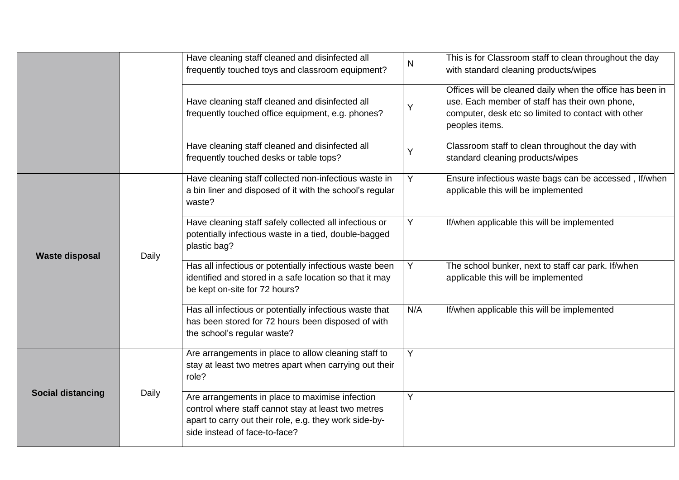|                          |       | Have cleaning staff cleaned and disinfected all<br>frequently touched toys and classroom equipment?                                                                                               | N   | This is for Classroom staff to clean throughout the day<br>with standard cleaning products/wipes                                                                                     |
|--------------------------|-------|---------------------------------------------------------------------------------------------------------------------------------------------------------------------------------------------------|-----|--------------------------------------------------------------------------------------------------------------------------------------------------------------------------------------|
|                          |       | Have cleaning staff cleaned and disinfected all<br>frequently touched office equipment, e.g. phones?                                                                                              | Y   | Offices will be cleaned daily when the office has been in<br>use. Each member of staff has their own phone,<br>computer, desk etc so limited to contact with other<br>peoples items. |
|                          |       | Have cleaning staff cleaned and disinfected all<br>frequently touched desks or table tops?                                                                                                        | Y   | Classroom staff to clean throughout the day with<br>standard cleaning products/wipes                                                                                                 |
| <b>Waste disposal</b>    | Daily | Have cleaning staff collected non-infectious waste in<br>a bin liner and disposed of it with the school's regular<br>waste?                                                                       | Y   | Ensure infectious waste bags can be accessed, If/when<br>applicable this will be implemented                                                                                         |
|                          |       | Have cleaning staff safely collected all infectious or<br>potentially infectious waste in a tied, double-bagged<br>plastic bag?                                                                   | Y   | If/when applicable this will be implemented                                                                                                                                          |
|                          |       | Has all infectious or potentially infectious waste been<br>identified and stored in a safe location so that it may<br>be kept on-site for 72 hours?                                               | Y   | The school bunker, next to staff car park. If/when<br>applicable this will be implemented                                                                                            |
|                          |       | Has all infectious or potentially infectious waste that<br>has been stored for 72 hours been disposed of with<br>the school's regular waste?                                                      | N/A | If/when applicable this will be implemented                                                                                                                                          |
| <b>Social distancing</b> | Daily | Are arrangements in place to allow cleaning staff to<br>stay at least two metres apart when carrying out their<br>role?                                                                           | Y   |                                                                                                                                                                                      |
|                          |       | Are arrangements in place to maximise infection<br>control where staff cannot stay at least two metres<br>apart to carry out their role, e.g. they work side-by-<br>side instead of face-to-face? | Υ   |                                                                                                                                                                                      |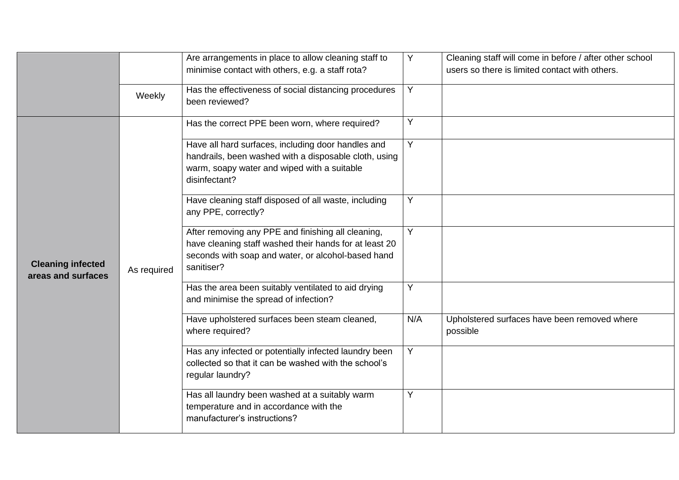|                                                |             | Are arrangements in place to allow cleaning staff to<br>minimise contact with others, e.g. a staff rota?                                                                         | Y   | Cleaning staff will come in before / after other school<br>users so there is limited contact with others. |
|------------------------------------------------|-------------|----------------------------------------------------------------------------------------------------------------------------------------------------------------------------------|-----|-----------------------------------------------------------------------------------------------------------|
|                                                | Weekly      | Has the effectiveness of social distancing procedures<br>been reviewed?                                                                                                          | Y   |                                                                                                           |
|                                                |             | Has the correct PPE been worn, where required?                                                                                                                                   | Y   |                                                                                                           |
| <b>Cleaning infected</b><br>areas and surfaces | As required | Have all hard surfaces, including door handles and<br>handrails, been washed with a disposable cloth, using<br>warm, soapy water and wiped with a suitable<br>disinfectant?      | Y   |                                                                                                           |
|                                                |             | Have cleaning staff disposed of all waste, including<br>any PPE, correctly?                                                                                                      | Y   |                                                                                                           |
|                                                |             | After removing any PPE and finishing all cleaning,<br>have cleaning staff washed their hands for at least 20<br>seconds with soap and water, or alcohol-based hand<br>sanitiser? | Y   |                                                                                                           |
|                                                |             | Has the area been suitably ventilated to aid drying<br>and minimise the spread of infection?                                                                                     | Y   |                                                                                                           |
|                                                |             | Have upholstered surfaces been steam cleaned,<br>where required?                                                                                                                 | N/A | Upholstered surfaces have been removed where<br>possible                                                  |
|                                                |             | Has any infected or potentially infected laundry been<br>collected so that it can be washed with the school's<br>regular laundry?                                                | Y   |                                                                                                           |
|                                                |             | Has all laundry been washed at a suitably warm<br>temperature and in accordance with the<br>manufacturer's instructions?                                                         | Y   |                                                                                                           |